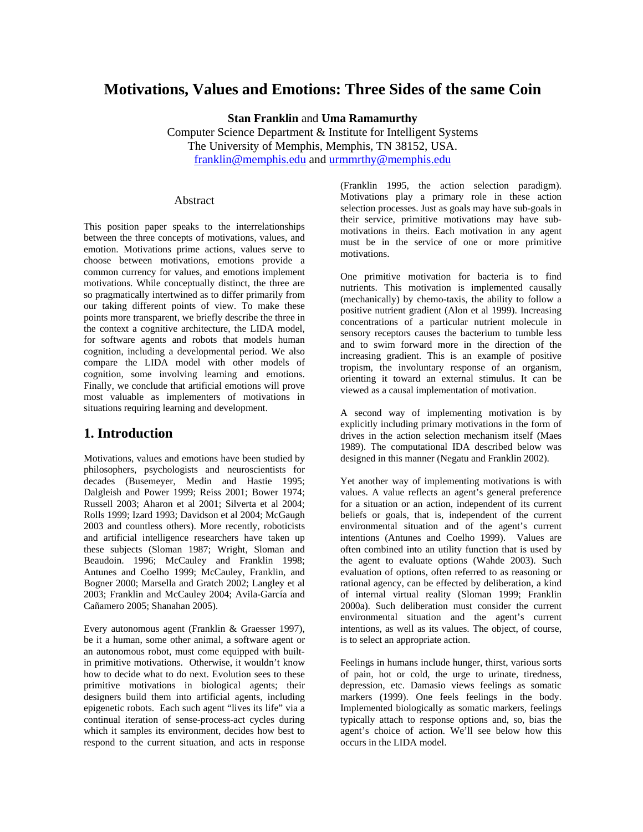## **Motivations, Values and Emotions: Three Sides of the same Coin**

**Stan Franklin** and **Uma Ramamurthy**

Computer Science Department & Institute for Intelligent Systems The University of Memphis, Memphis, TN 38152, USA. franklin@memphis.edu and urmmrthy@memphis.edu

#### Abstract

This position paper speaks to the interrelationships between the three concepts of motivations, values, and emotion. Motivations prime actions, values serve to choose between motivations, emotions provide a common currency for values, and emotions implement motivations. While conceptually distinct, the three are so pragmatically intertwined as to differ primarily from our taking different points of view. To make these points more transparent, we briefly describe the three in the context a cognitive architecture, the LIDA model, for software agents and robots that models human cognition, including a developmental period. We also compare the LIDA model with other models of cognition, some involving learning and emotions. Finally, we conclude that artificial emotions will prove most valuable as implementers of motivations in situations requiring learning and development.

### **1. Introduction**

Motivations, values and emotions have been studied by philosophers, psychologists and neuroscientists for decades (Busemeyer, Medin and Hastie 1995; Dalgleish and Power 1999; Reiss 2001; Bower 1974; Russell 2003; Aharon et al 2001; Silverta et al 2004; Rolls 1999; Izard 1993; Davidson et al 2004; McGaugh 2003 and countless others). More recently, roboticists and artificial intelligence researchers have taken up these subjects (Sloman 1987; Wright, Sloman and Beaudoin. 1996; McCauley and Franklin 1998; Antunes and Coelho 1999; McCauley, Franklin, and Bogner 2000; Marsella and Gratch 2002; Langley et al 2003; Franklin and McCauley 2004; Avila-García and Cañamero 2005; Shanahan 2005).

Every autonomous agent (Franklin & Graesser 1997), be it a human, some other animal, a software agent or an autonomous robot, must come equipped with builtin primitive motivations. Otherwise, it wouldn't know how to decide what to do next. Evolution sees to these primitive motivations in biological agents; their designers build them into artificial agents, including epigenetic robots. Each such agent "lives its life" via a continual iteration of sense-process-act cycles during which it samples its environment, decides how best to respond to the current situation, and acts in response

(Franklin 1995, the action selection paradigm). Motivations play a primary role in these action selection processes. Just as goals may have sub-goals in their service, primitive motivations may have submotivations in theirs. Each motivation in any agent must be in the service of one or more primitive motivations.

One primitive motivation for bacteria is to find nutrients. This motivation is implemented causally (mechanically) by chemo-taxis, the ability to follow a positive nutrient gradient (Alon et al 1999). Increasing concentrations of a particular nutrient molecule in sensory receptors causes the bacterium to tumble less and to swim forward more in the direction of the increasing gradient. This is an example of positive tropism, the involuntary response of an organism, orienting it toward an external stimulus. It can be viewed as a causal implementation of motivation.

A second way of implementing motivation is by explicitly including primary motivations in the form of drives in the action selection mechanism itself (Maes 1989). The computational IDA described below was designed in this manner (Negatu and Franklin 2002).

Yet another way of implementing motivations is with values. A value reflects an agent's general preference for a situation or an action, independent of its current beliefs or goals, that is, independent of the current environmental situation and of the agent's current intentions (Antunes and Coelho 1999). Values are often combined into an utility function that is used by the agent to evaluate options (Wahde 2003). Such evaluation of options, often referred to as reasoning or rational agency, can be effected by deliberation, a kind of internal virtual reality (Sloman 1999; Franklin 2000a). Such deliberation must consider the current environmental situation and the agent's current intentions, as well as its values. The object, of course, is to select an appropriate action.

Feelings in humans include hunger, thirst, various sorts of pain, hot or cold, the urge to urinate, tiredness, depression, etc. Damasio views feelings as somatic markers (1999). One feels feelings in the body. Implemented biologically as somatic markers, feelings typically attach to response options and, so, bias the agent's choice of action. We'll see below how this occurs in the LIDA model.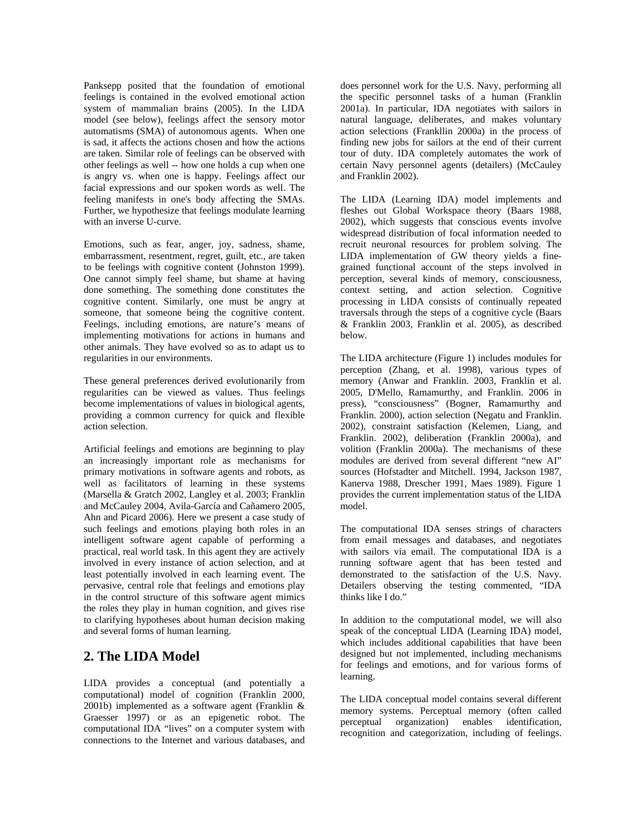Panksepp posited that the foundation of emotional feelings is contained in the evolved emotional action system of mammalian brains (2005). In the LIDA model (see below), feelings affect the sensory motor automatisms (SMA) of autonomous agents. When one is sad, it affects the actions chosen and how the actions are taken. Similar role of feelings can be observed with other feelings as well -- how one holds a cup when one is angry vs. when one is happy. Feelings affect our facial expressions and our spoken words as well. The feeling manifests in one's body affecting the SMAs. Further, we hypothesize that feelings modulate learning with an inverse U-curve.

Emotions, such as fear, anger, joy, sadness, shame, embarrassment, resentment, regret, guilt, etc., are taken to be feelings with cognitive content (Johnston 1999). One cannot simply feel shame, but shame at having done something. The something done constitutes the cognitive content. Similarly, one must be angry at someone, that someone being the cognitive content. Feelings, including emotions, are nature's means of implementing motivations for actions in humans and other animals. They have evolved so as to adapt us to regularities in our environments.

These general preferences derived evolutionarily from regularities can be viewed as values. Thus feelings become implementations of values in biological agents, providing a common currency for quick and flexible action selection.

Artificial feelings and emotions are beginning to play an increasingly important role as mechanisms for primary motivations in software agents and robots, as well as facilitators of learning in these systems (Marsella & Gratch 2002, Langley et al. 2003; Franklin and McCauley 2004, Avila-García and Cañamero 2005, Ahn and Picard 2006). Here we present a case study of such feelings and emotions playing both roles in an intelligent software agent capable of performing a practical, real world task. In this agent they are actively involved in every instance of action selection, and at least potentially involved in each learning event. The pervasive, central role that feelings and emotions play in the control structure of this software agent mimics the roles they play in human cognition, and gives rise to clarifying hypotheses about human decision making and several forms of human learning.

## **2. The LIDA Model**

LIDA provides a conceptual (and potentially a computational) model of cognition (Franklin 2000, 2001b) implemented as a software agent (Franklin & Graesser 1997) or as an epigenetic robot. The computational IDA "lives" on a computer system with connections to the Internet and various databases, and

does personnel work for the U.S. Navy, performing all the specific personnel tasks of a human (Franklin 2001a). In particular, IDA negotiates with sailors in natural language, deliberates, and makes voluntary action selections (Frankllin 2000a) in the process of finding new jobs for sailors at the end of their current tour of duty. IDA completely automates the work of certain Navy personnel agents (detailers) (McCauley and Franklin 2002).

The LIDA (Learning IDA) model implements and fleshes out Global Workspace theory (Baars 1988, 2002), which suggests that conscious events involve widespread distribution of focal information needed to recruit neuronal resources for problem solving. The LIDA implementation of GW theory yields a finegrained functional account of the steps involved in perception, several kinds of memory, consciousness, context setting, and action selection. Cognitive processing in LIDA consists of continually repeated traversals through the steps of a cognitive cycle (Baars & Franklin 2003, Franklin et al. 2005), as described below.

The LIDA architecture (Figure 1) includes modules for perception (Zhang, et al. 1998), various types of memory (Anwar and Franklin. 2003, Franklin et al. 2005, D'Mello, Ramamurthy, and Franklin. 2006 in press), "consciousness" (Bogner, Ramamurthy and Franklin. 2000), action selection (Negatu and Franklin. 2002), constraint satisfaction (Kelemen, Liang, and Franklin. 2002), deliberation (Franklin 2000a), and volition (Franklin 2000a). The mechanisms of these modules are derived from several different "new AI" sources (Hofstadter and Mitchell. 1994, Jackson 1987, Kanerva 1988, Drescher 1991, Maes 1989). Figure 1 provides the current implementation status of the LIDA model.

The computational IDA senses strings of characters from email messages and databases, and negotiates with sailors via email. The computational IDA is a running software agent that has been tested and demonstrated to the satisfaction of the U.S. Navy. Detailers observing the testing commented, "IDA thinks like I do."

In addition to the computational model, we will also speak of the conceptual LIDA (Learning IDA) model, which includes additional capabilities that have been designed but not implemented, including mechanisms for feelings and emotions, and for various forms of learning.

The LIDA conceptual model contains several different memory systems. Perceptual memory (often called perceptual organization) enables identification, recognition and categorization, including of feelings.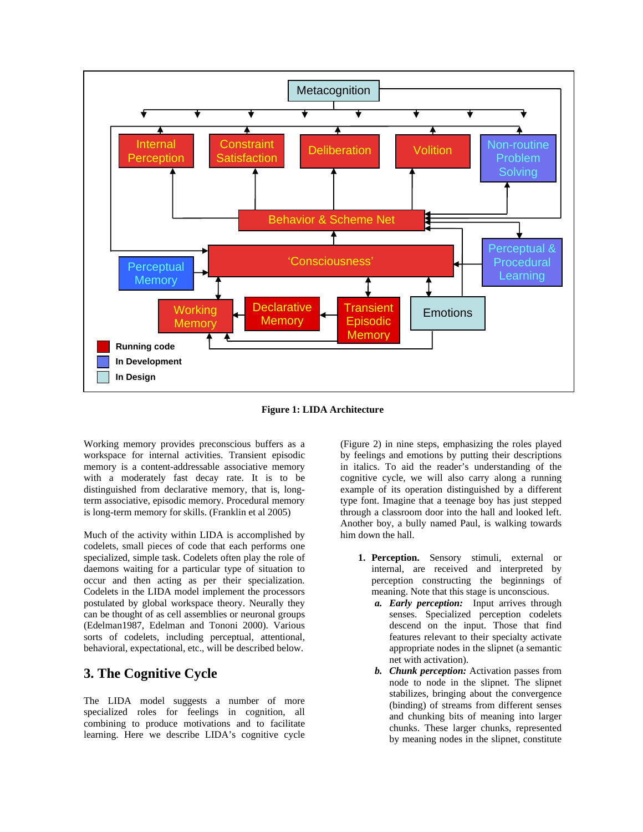

**Figure 1: LIDA Architecture** 

Working memory provides preconscious buffers as a workspace for internal activities. Transient episodic memory is a content-addressable associative memory with a moderately fast decay rate. It is to be distinguished from declarative memory, that is, longterm associative, episodic memory. Procedural memory is long-term memory for skills. (Franklin et al 2005)

Much of the activity within LIDA is accomplished by codelets, small pieces of code that each performs one specialized, simple task. Codelets often play the role of daemons waiting for a particular type of situation to occur and then acting as per their specialization. Codelets in the LIDA model implement the processors postulated by global workspace theory. Neurally they can be thought of as cell assemblies or neuronal groups (Edelman1987, Edelman and Tononi 2000). Various sorts of codelets, including perceptual, attentional, behavioral, expectational, etc., will be described below.

# **3. The Cognitive Cycle**

The LIDA model suggests a number of more specialized roles for feelings in cognition, all combining to produce motivations and to facilitate learning. Here we describe LIDA's cognitive cycle

(Figure 2) in nine steps, emphasizing the roles played by feelings and emotions by putting their descriptions in italics. To aid the reader's understanding of the cognitive cycle, we will also carry along a running example of its operation distinguished by a different type font. Imagine that a teenage boy has just stepped through a classroom door into the hall and looked left. Another boy, a bully named Paul, is walking towards him down the hall.

- **1. Perception.** Sensory stimuli, external or internal, are received and interpreted by perception constructing the beginnings of meaning. Note that this stage is unconscious.
	- *a. Early perception:* Input arrives through senses. Specialized perception codelets descend on the input. Those that find features relevant to their specialty activate appropriate nodes in the slipnet (a semantic net with activation).
	- *b. Chunk perception:* Activation passes from node to node in the slipnet. The slipnet stabilizes, bringing about the convergence (binding) of streams from different senses and chunking bits of meaning into larger chunks. These larger chunks, represented by meaning nodes in the slipnet, constitute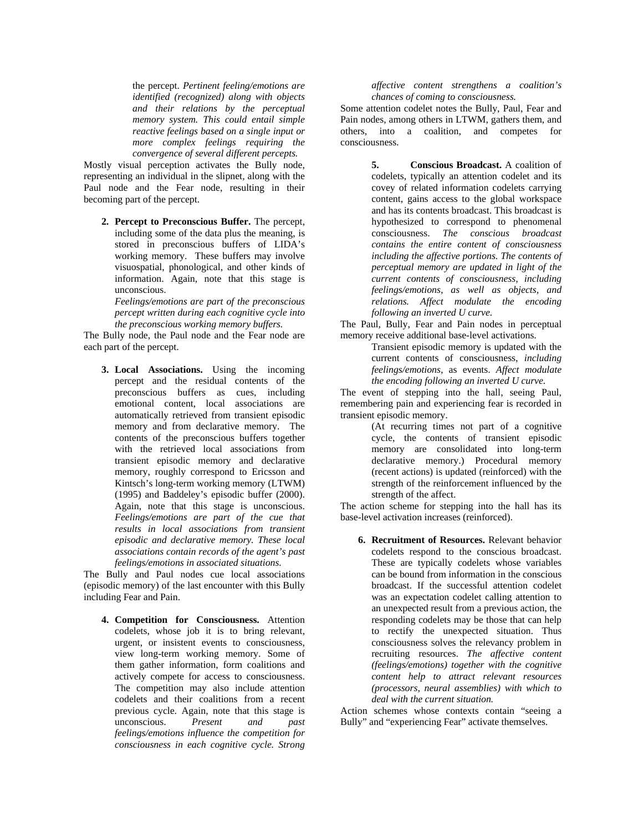the percept. *Pertinent feeling/emotions are identified (recognized) along with objects and their relations by the perceptual memory system. This could entail simple reactive feelings based on a single input or more complex feelings requiring the convergence of several different percepts.* 

Mostly visual perception activates the Bully node, representing an individual in the slipnet, along with the Paul node and the Fear node, resulting in their becoming part of the percept.

**2. Percept to Preconscious Buffer.** The percept, including some of the data plus the meaning, is stored in preconscious buffers of LIDA's working memory. These buffers may involve visuospatial, phonological, and other kinds of information. Again, note that this stage is unconscious.

*Feelings/emotions are part of the preconscious percept written during each cognitive cycle into the preconscious working memory buffers.* 

The Bully node, the Paul node and the Fear node are each part of the percept.

**3. Local Associations.** Using the incoming percept and the residual contents of the preconscious buffers as cues, including emotional content, local associations are automatically retrieved from transient episodic memory and from declarative memory. The contents of the preconscious buffers together with the retrieved local associations from transient episodic memory and declarative memory, roughly correspond to Ericsson and Kintsch's long-term working memory (LTWM) (1995) and Baddeley's episodic buffer (2000). Again, note that this stage is unconscious. *Feelings/emotions are part of the cue that results in local associations from transient episodic and declarative memory. These local associations contain records of the agent's past feelings/emotions in associated situations.*

The Bully and Paul nodes cue local associations (episodic memory) of the last encounter with this Bully including Fear and Pain.

**4. Competition for Consciousness.** Attention codelets, whose job it is to bring relevant, urgent, or insistent events to consciousness, view long-term working memory. Some of them gather information, form coalitions and actively compete for access to consciousness. The competition may also include attention codelets and their coalitions from a recent previous cycle. Again, note that this stage is<br>unconscious. Present and past unconscious. *Present and past feelings/emotions influence the competition for consciousness in each cognitive cycle. Strong* 

*affective content strengthens a coalition's chances of coming to consciousness.*

Some attention codelet notes the Bully, Paul, Fear and Pain nodes, among others in LTWM, gathers them, and others, into a coalition, and competes for consciousness.

> **5. Conscious Broadcast.** A coalition of codelets, typically an attention codelet and its covey of related information codelets carrying content, gains access to the global workspace and has its contents broadcast. This broadcast is hypothesized to correspond to phenomenal consciousness. *The conscious broadcast contains the entire content of consciousness including the affective portions. The contents of perceptual memory are updated in light of the current contents of consciousness, including feelings/emotions, as well as objects, and relations. Affect modulate the encoding following an inverted U curve.*

The Paul, Bully, Fear and Pain nodes in perceptual memory receive additional base-level activations.

Transient episodic memory is updated with the current contents of consciousness, *including feelings/emotions,* as events. *Affect modulate the encoding following an inverted U curve.* 

The event of stepping into the hall, seeing Paul, remembering pain and experiencing fear is recorded in transient episodic memory.

> (At recurring times not part of a cognitive cycle, the contents of transient episodic memory are consolidated into long-term declarative memory.) Procedural memory (recent actions) is updated (reinforced) with the strength of the reinforcement influenced by the strength of the affect.

The action scheme for stepping into the hall has its base-level activation increases (reinforced).

**6. Recruitment of Resources.** Relevant behavior codelets respond to the conscious broadcast. These are typically codelets whose variables can be bound from information in the conscious broadcast. If the successful attention codelet was an expectation codelet calling attention to an unexpected result from a previous action, the responding codelets may be those that can help to rectify the unexpected situation. Thus consciousness solves the relevancy problem in recruiting resources. *The affective content (feelings/emotions) together with the cognitive content help to attract relevant resources (processors, neural assemblies) with which to deal with the current situation.* 

Action schemes whose contexts contain "seeing a Bully" and "experiencing Fear" activate themselves.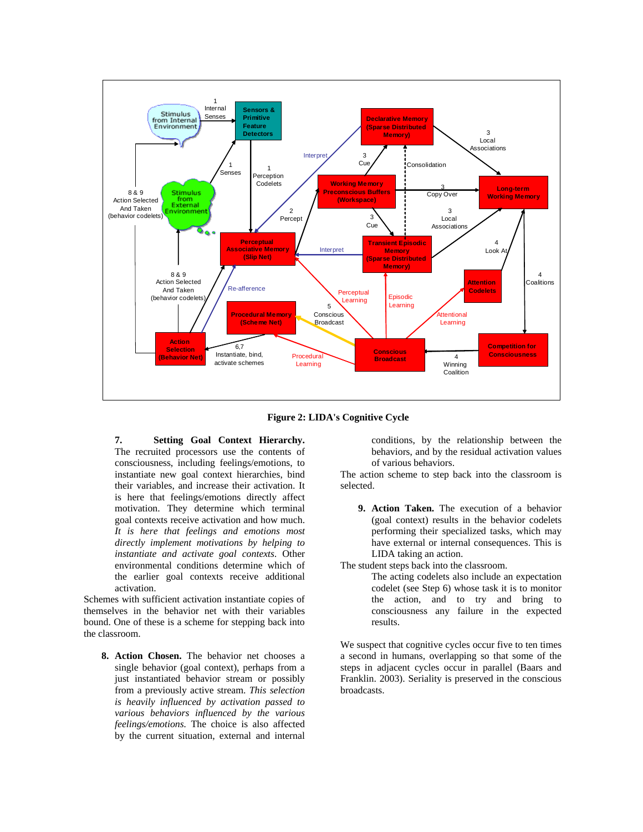

**Figure 2: LIDA's Cognitive Cycle** 

**7. Setting Goal Context Hierarchy.** The recruited processors use the contents of consciousness, including feelings/emotions, to instantiate new goal context hierarchies, bind their variables, and increase their activation. It is here that feelings/emotions directly affect motivation. They determine which terminal goal contexts receive activation and how much. *It is here that feelings and emotions most directly implement motivations by helping to instantiate and activate goal contexts.* Other environmental conditions determine which of the earlier goal contexts receive additional activation.

Schemes with sufficient activation instantiate copies of themselves in the behavior net with their variables bound. One of these is a scheme for stepping back into the classroom.

**8. Action Chosen.** The behavior net chooses a single behavior (goal context), perhaps from a just instantiated behavior stream or possibly from a previously active stream. *This selection is heavily influenced by activation passed to various behaviors influenced by the various feelings/emotions.* The choice is also affected by the current situation, external and internal conditions, by the relationship between the behaviors, and by the residual activation values of various behaviors.

The action scheme to step back into the classroom is selected.

**9. Action Taken.** The execution of a behavior (goal context) results in the behavior codelets performing their specialized tasks, which may have external or internal consequences. This is LIDA taking an action.

The student steps back into the classroom.

The acting codelets also include an expectation codelet (see Step 6) whose task it is to monitor the action, and to try and bring to consciousness any failure in the expected results.

We suspect that cognitive cycles occur five to ten times a second in humans, overlapping so that some of the steps in adjacent cycles occur in parallel (Baars and Franklin. 2003). Seriality is preserved in the conscious broadcasts.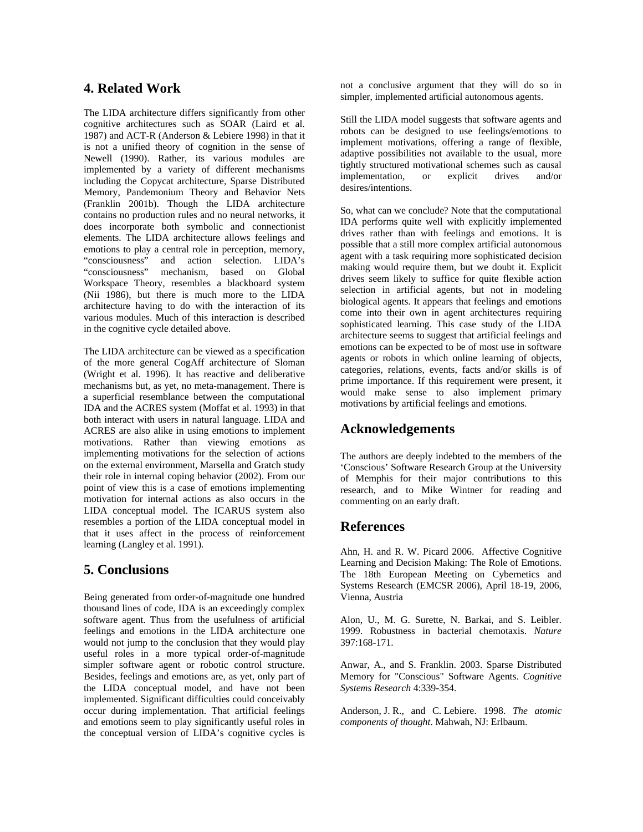## **4. Related Work**

The LIDA architecture differs significantly from other cognitive architectures such as SOAR (Laird et al. 1987) and ACT-R (Anderson & Lebiere 1998) in that it is not a unified theory of cognition in the sense of Newell (1990). Rather, its various modules are implemented by a variety of different mechanisms including the Copycat architecture, Sparse Distributed Memory, Pandemonium Theory and Behavior Nets (Franklin 2001b). Though the LIDA architecture contains no production rules and no neural networks, it does incorporate both symbolic and connectionist elements. The LIDA architecture allows feelings and emotions to play a central role in perception, memory, "consciousness" and action selection. LIDA's<br>"consciousness" mechanism, based on Global mechanism, based on Global Workspace Theory, resembles a blackboard system (Nii 1986), but there is much more to the LIDA architecture having to do with the interaction of its various modules. Much of this interaction is described in the cognitive cycle detailed above.

The LIDA architecture can be viewed as a specification of the more general CogAff architecture of Sloman (Wright et al. 1996). It has reactive and deliberative mechanisms but, as yet, no meta-management. There is a superficial resemblance between the computational IDA and the ACRES system (Moffat et al. 1993) in that both interact with users in natural language. LIDA and ACRES are also alike in using emotions to implement motivations. Rather than viewing emotions as implementing motivations for the selection of actions on the external environment, Marsella and Gratch study their role in internal coping behavior (2002). From our point of view this is a case of emotions implementing motivation for internal actions as also occurs in the LIDA conceptual model. The ICARUS system also resembles a portion of the LIDA conceptual model in that it uses affect in the process of reinforcement learning (Langley et al. 1991).

## **5. Conclusions**

Being generated from order-of-magnitude one hundred thousand lines of code, IDA is an exceedingly complex software agent. Thus from the usefulness of artificial feelings and emotions in the LIDA architecture one would not jump to the conclusion that they would play useful roles in a more typical order-of-magnitude simpler software agent or robotic control structure. Besides, feelings and emotions are, as yet, only part of the LIDA conceptual model, and have not been implemented. Significant difficulties could conceivably occur during implementation. That artificial feelings and emotions seem to play significantly useful roles in the conceptual version of LIDA's cognitive cycles is

not a conclusive argument that they will do so in simpler, implemented artificial autonomous agents.

Still the LIDA model suggests that software agents and robots can be designed to use feelings/emotions to implement motivations, offering a range of flexible, adaptive possibilities not available to the usual, more tightly structured motivational schemes such as causal implementation, or explicit drives and/or desires/intentions.

So, what can we conclude? Note that the computational IDA performs quite well with explicitly implemented drives rather than with feelings and emotions. It is possible that a still more complex artificial autonomous agent with a task requiring more sophisticated decision making would require them, but we doubt it. Explicit drives seem likely to suffice for quite flexible action selection in artificial agents, but not in modeling biological agents. It appears that feelings and emotions come into their own in agent architectures requiring sophisticated learning. This case study of the LIDA architecture seems to suggest that artificial feelings and emotions can be expected to be of most use in software agents or robots in which online learning of objects, categories, relations, events, facts and/or skills is of prime importance. If this requirement were present, it would make sense to also implement primary motivations by artificial feelings and emotions.

## **Acknowledgements**

The authors are deeply indebted to the members of the 'Conscious' Software Research Group at the University of Memphis for their major contributions to this research, and to Mike Wintner for reading and commenting on an early draft.

## **References**

Ahn, H. and R. W. Picard 2006. Affective Cognitive Learning and Decision Making: The Role of Emotions. The 18th European Meeting on Cybernetics and Systems Research (EMCSR 2006), April 18-19, 2006, Vienna, Austria

Alon, U., M. G. Surette, N. Barkai, and S. Leibler. 1999. Robustness in bacterial chemotaxis. *Nature* 397:168-171.

Anwar, A., and S. Franklin. 2003. Sparse Distributed Memory for "Conscious" Software Agents. *Cognitive Systems Research* 4:339-354.

Anderson, J. R., and C. Lebiere. 1998. *The atomic components of thought*. Mahwah, NJ: Erlbaum.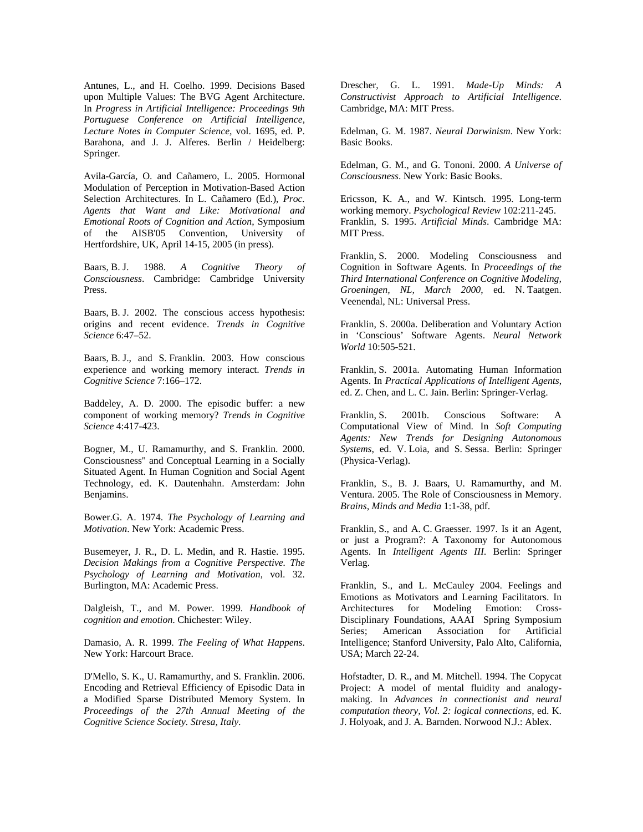Antunes, L., and H. Coelho. 1999. Decisions Based upon Multiple Values: The BVG Agent Architecture. In *Progress in Artificial Intelligence: Proceedings 9th Portuguese Conference on Artificial Intelligence, Lecture Notes in Computer Science*, vol. 1695, ed. P. Barahona, and J. J. Alferes. Berlin / Heidelberg: Springer.

Avila-García, O. and Cañamero, L. 2005. Hormonal Modulation of Perception in Motivation-Based Action Selection Architectures. In L. Cañamero (Ed.), *Proc. Agents that Want and Like: Motivational and Emotional Roots of Cognition and Action*, Symposium of the AISB'05 Convention, University of Hertfordshire, UK, April 14-15, 2005 (in press).

Baars, B. J. 1988. *A Cognitive Theory of Consciousness*. Cambridge: Cambridge University Press.

Baars, B. J. 2002. The conscious access hypothesis: origins and recent evidence. *Trends in Cognitive Science* 6:47–52.

Baars, B. J., and S. Franklin. 2003. How conscious experience and working memory interact. *Trends in Cognitive Science* 7:166–172.

Baddeley, A. D. 2000. The episodic buffer: a new component of working memory? *Trends in Cognitive Science* 4:417-423.

Bogner, M., U. Ramamurthy, and S. Franklin. 2000. Consciousness" and Conceptual Learning in a Socially Situated Agent. In Human Cognition and Social Agent Technology, ed. K. Dautenhahn. Amsterdam: John Benjamins.

Bower.G. A. 1974. *The Psychology of Learning and Motivation*. New York: Academic Press.

Busemeyer, J. R., D. L. Medin, and R. Hastie. 1995. *Decision Makings from a Cognitive Perspective. The Psychology of Learning and Motivation*, vol. 32. Burlington, MA: Academic Press.

Dalgleish, T., and M. Power. 1999. *Handbook of cognition and emotion*. Chichester: Wiley.

Damasio, A. R. 1999. *The Feeling of What Happens*. New York: Harcourt Brace.

D'Mello, S. K., U. Ramamurthy, and S. Franklin. 2006. Encoding and Retrieval Efficiency of Episodic Data in a Modified Sparse Distributed Memory System. In *Proceedings of the 27th Annual Meeting of the Cognitive Science Society. Stresa, Italy*.

Drescher, G. L. 1991. *Made-Up Minds: A Constructivist Approach to Artificial Intelligence*. Cambridge, MA: MIT Press.

Edelman, G. M. 1987. *Neural Darwinism*. New York: Basic Books.

Edelman, G. M., and G. Tononi. 2000. *A Universe of Consciousness*. New York: Basic Books.

Ericsson, K. A., and W. Kintsch. 1995. Long-term working memory. *Psychological Review* 102:211-245. Franklin, S. 1995. *Artificial Minds*. Cambridge MA: MIT Press.

Franklin, S. 2000. Modeling Consciousness and Cognition in Software Agents. In *Proceedings of the Third International Conference on Cognitive Modeling, Groeningen, NL, March 2000*, ed. N. Taatgen. Veenendal, NL: Universal Press.

Franklin, S. 2000a. Deliberation and Voluntary Action in 'Conscious' Software Agents. *Neural Network World* 10:505-521.

Franklin, S. 2001a. Automating Human Information Agents. In *Practical Applications of Intelligent Agents*, ed. Z. Chen, and L. C. Jain. Berlin: Springer-Verlag.

Franklin, S. 2001b. Conscious Software: A Computational View of Mind. In *Soft Computing Agents: New Trends for Designing Autonomous Systems*, ed. V. Loia, and S. Sessa. Berlin: Springer (Physica-Verlag).

Franklin, S., B. J. Baars, U. Ramamurthy, and M. Ventura. 2005. The Role of Consciousness in Memory. *Brains, Minds and Media* 1:1-38, pdf.

Franklin, S., and A. C. Graesser. 1997. Is it an Agent, or just a Program?: A Taxonomy for Autonomous Agents. In *Intelligent Agents III*. Berlin: Springer Verlag.

Franklin, S., and L. McCauley 2004. Feelings and Emotions as Motivators and Learning Facilitators. In Architectures for Modeling Emotion: Cross-Disciplinary Foundations, AAAI Spring Symposium Series; American Association for Artificial Intelligence; Stanford University, Palo Alto, California, USA; March 22-24.

Hofstadter, D. R., and M. Mitchell. 1994. The Copycat Project: A model of mental fluidity and analogymaking. In *Advances in connectionist and neural computation theory, Vol. 2: logical connections*, ed. K. J. Holyoak, and J. A. Barnden. Norwood N.J.: Ablex.